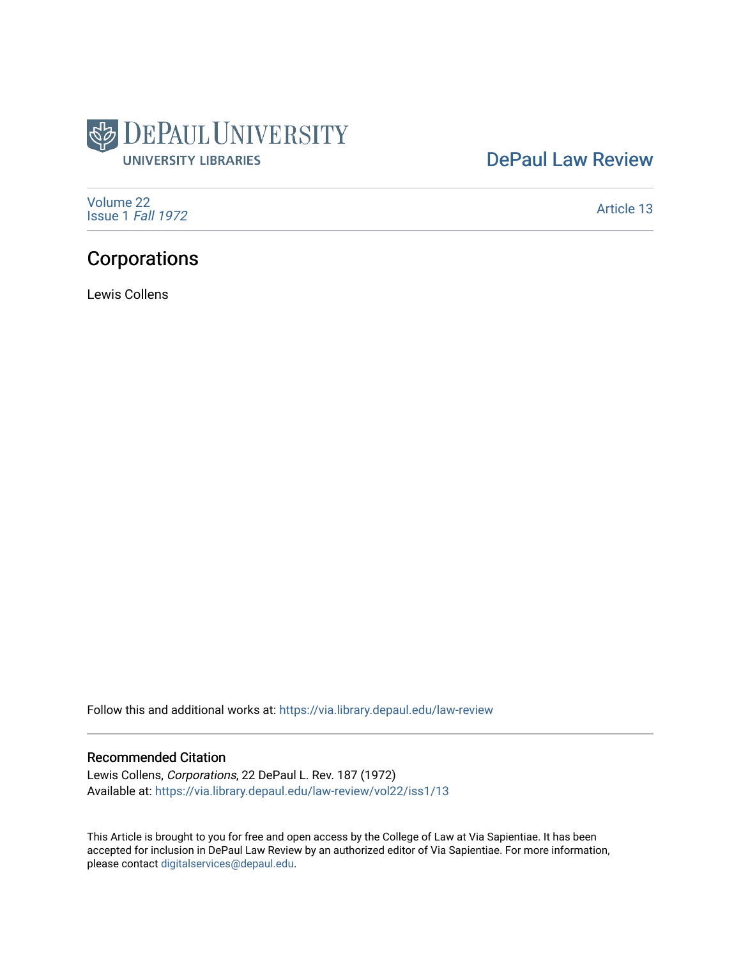

# [DePaul Law Review](https://via.library.depaul.edu/law-review)

[Volume 22](https://via.library.depaul.edu/law-review/vol22) [Issue 1](https://via.library.depaul.edu/law-review/vol22/iss1) Fall 1972

[Article 13](https://via.library.depaul.edu/law-review/vol22/iss1/13) 

# Corporations

Lewis Collens

Follow this and additional works at: [https://via.library.depaul.edu/law-review](https://via.library.depaul.edu/law-review?utm_source=via.library.depaul.edu%2Flaw-review%2Fvol22%2Fiss1%2F13&utm_medium=PDF&utm_campaign=PDFCoverPages) 

# Recommended Citation

Lewis Collens, Corporations, 22 DePaul L. Rev. 187 (1972) Available at: [https://via.library.depaul.edu/law-review/vol22/iss1/13](https://via.library.depaul.edu/law-review/vol22/iss1/13?utm_source=via.library.depaul.edu%2Flaw-review%2Fvol22%2Fiss1%2F13&utm_medium=PDF&utm_campaign=PDFCoverPages)

This Article is brought to you for free and open access by the College of Law at Via Sapientiae. It has been accepted for inclusion in DePaul Law Review by an authorized editor of Via Sapientiae. For more information, please contact [digitalservices@depaul.edu.](mailto:digitalservices@depaul.edu)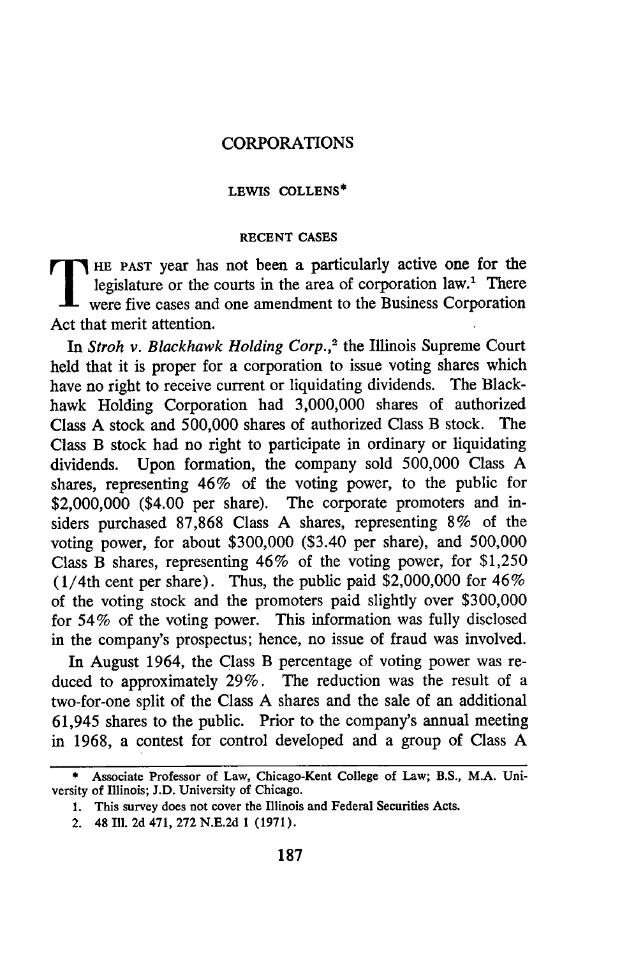## CORPORATIONS

## **LEWIS COLLENS\***

#### **RECENT CASES**

**HE PAST** year has not been a particularly active one for the legislature or the courts in the area of corporation law.' There were five cases and one amendment to the Business Corporation Act that merit attention.

In *Stroh v. Blackhawk Holding Corp.*,<sup>2</sup> the Illinois Supreme Court held that it is proper for a corporation to issue voting shares which have no right to receive current or liquidating dividends. The Blackhawk Holding Corporation had 3,000,000 shares of authorized Class A stock and 500,000 shares of authorized Class B stock. The Class B stock had no right to participate in ordinary or liquidating dividends. Upon formation, the company sold 500,000 Class A shares, representing 46% of the voting power, to the public for \$2,000,000 (\$4.00 per share). The corporate promoters and insiders purchased 87,868 Class A shares, representing 8% of the voting power, for about \$300,000 (\$3.40 per share), and 500,000 Class B shares, representing 46% of the voting power, for \$1,250 (1/4th cent per share). Thus, the public paid \$2,000,000 for 46% of the voting stock and the promoters paid slightly over \$300,000 for 54% of the voting power. This information was fully disclosed in the company's prospectus; hence, no issue of fraud was involved.

In August 1964, the Class B percentage of voting power was reduced to approximately 29%. The reduction was the result of a two-for-one split of the Class A shares and the sale of an additional 61,945 shares to the public. Prior to the company's annual meeting in 1968, a contest for control developed and a group of Class A

<sup>\*</sup>Associate Professor of Law, Chicago-Kent College of Law; B.S., M.A. University of Illinois; J.D. University of Chicago.

**<sup>1.</sup>** This survey does not cover the Illinois and Federal Securities Acts.

<sup>2. 48</sup> Ill. 2d 471, 272 N.E.2d 1 (1971).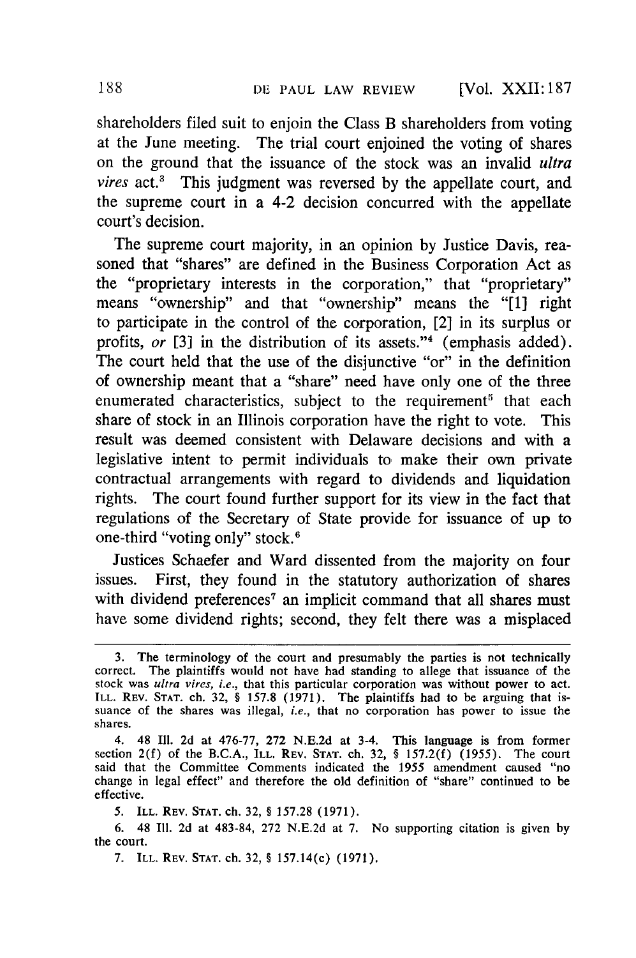shareholders filed suit to enjoin the Class B shareholders from voting at the June meeting. The trial court enjoined the voting of shares on the ground that the issuance of the stock was an invalid *ultra vires* act.3 This judgment was reversed by the appellate court, and the supreme court in a 4-2 decision concurred with the appellate court's decision.

The supreme court majority, in an opinion by Justice Davis, reasoned that "shares" are defined in the Business Corporation Act as the "proprietary interests in the corporation," that "proprietary" means "ownership" and that "ownership" means the "[1] right to participate in the control of the corporation, [2] in its surplus or profits, or [3] in the distribution of its assets."<sup>4</sup> (emphasis added). The court held that the use of the disjunctive "or" in the definition of ownership meant that a "share" need have only one of the three enumerated characteristics, subject to the requirement<sup>5</sup> that each share of stock in an Illinois corporation have the right to vote. This result was deemed consistent with Delaware decisions and with a legislative intent to permit individuals to make their own private contractual arrangements with regard to dividends and liquidation rights. The court found further support for its view in the fact that regulations of the Secretary of State provide for issuance of up to one-third "voting only" stock.<sup>6</sup>

Justices Schaefer and Ward dissented from the majority on four issues. First, they found in the statutory authorization of shares with dividend preferences<sup>7</sup> an implicit command that all shares must have some dividend rights; second, they felt there was a misplaced

<sup>3.</sup> The terminology of the court and presumably the parties is not technically correct. The plaintiffs would not have had standing to allege that issuance of the stock was *ultra vires, i.e.,* that this particular corporation was without power to act. ILL. REV. **STAT.** ch. 32, § 157.8 (1971). The plaintiffs had to be arguing that issuance of the shares was illegal, *i.e.,* that no corporation has power to issue the shares.

<sup>4. 48</sup> Ill. 2d at 476-77, 272 N.E.2d at 3-4. This language is from former section 2(f) of the B.C.A., ILL. REV. **STAT.** ch. 32, **§ 157.2(f) (1955).** The court said that the Committee Comments indicated the **1955** amendment caused "no change in legal effect" and therefore the old definition of "share" continued to be effective.

**<sup>5.</sup>** ILL. REV. **STAT.** ch. 32, § 157.28 (1971).

<sup>6. 48</sup> Ill. 2d at 483-84, 272 N.E.2d at 7. No supporting citation is given by the court.

<sup>7.</sup> ILL. REV. **STAT.** ch. 32, § 157.14(c) (1971).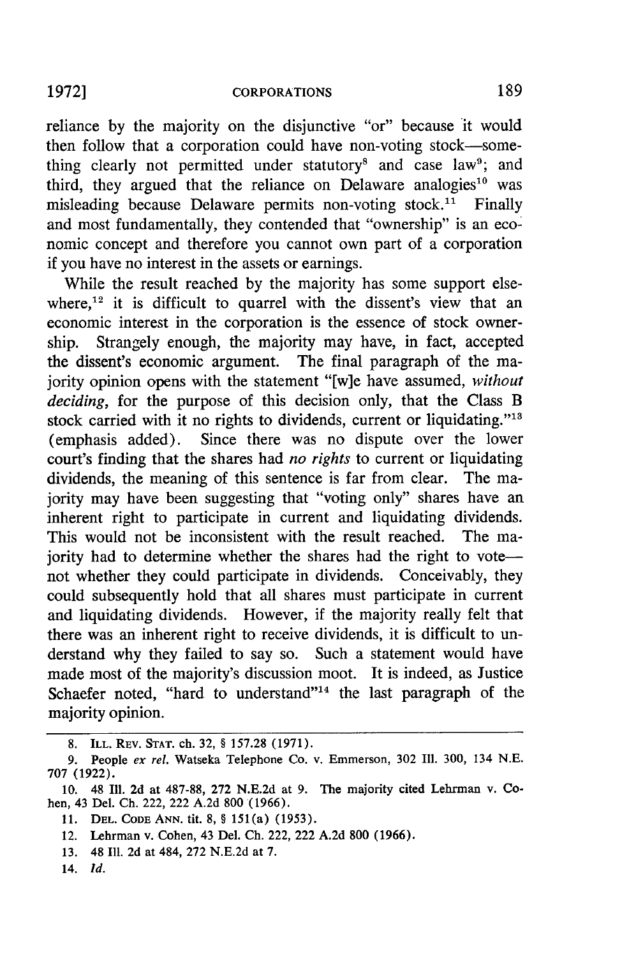#### **CORPORATIONS**

reliance by the majority on the disjunctive "or" because it would then follow that a corporation could have non-voting stock-something clearly not permitted under statutory<sup>8</sup> and case law<sup>9</sup>; and third, they argued that the reliance on Delaware analogies<sup>10</sup> was misleading because Delaware permits non-voting stock.<sup>11</sup> Finally and most fundamentally, they contended that "ownership" is an economic concept and therefore you cannot own part of a corporation if you have no interest in the assets or earnings.

While the result reached by the majority has some support elsewhere,<sup>12</sup> it is difficult to quarrel with the dissent's view that an economic interest in the corporation is the essence of stock ownership. Strangely enough, the majority may have, in fact, accepted the dissent's economic argument. The final paragraph of the majority opinion opens with the statement "[w]e have assumed, *without deciding,* for the purpose of this decision only, that the Class B stock carried with it no rights to dividends, current or liquidating."<sup>13</sup> (emphasis added). Since there was no dispute over the lower court's finding that the shares had *no rights* to current or liquidating dividends, the meaning of this sentence is far from clear. The majority may have been suggesting that "voting only" shares have an inherent right to participate in current and liquidating dividends. This would not be inconsistent with the result reached. The majority had to determine whether the shares had the right to votenot whether they could participate in dividends. Conceivably, they could subsequently hold that all shares must participate in current and liquidating dividends. However, if the majority really felt that there was an inherent right to receive dividends, it is difficult to understand why they failed to say so. Such a statement would have made most of the majority's discussion moot. It is indeed, as Justice Schaefer noted, "hard to understand"<sup>14</sup> the last paragraph of the majority opinion.

<sup>8.</sup> ILL. REV. **STAT.** ch. 32, § 157.28 (1971).

**<sup>9.</sup>** People *ex rel.* Watseka Telephone Co. v. Emmerson, 302 Ill. 300, 134 N.E. 707 (1922).

<sup>10. 48</sup> Ill. 2d at 487-88, 272 N.E.2d at 9. The majority cited Lehrman v. Cohen, 43 Del. Ch. 222, 222 A.2d 800 (1966).

<sup>11.</sup> **DEL. CODE ANN.** tit. **8, § 151(a) (1953).**

<sup>12.</sup> Lehrman v. Cohen, 43 Del. Ch. 222, 222 A.2d 800 (1966).

<sup>13. 48</sup> Ill. 2d at 484, 272 N.E.2d at 7.

<sup>14.</sup> *Id.*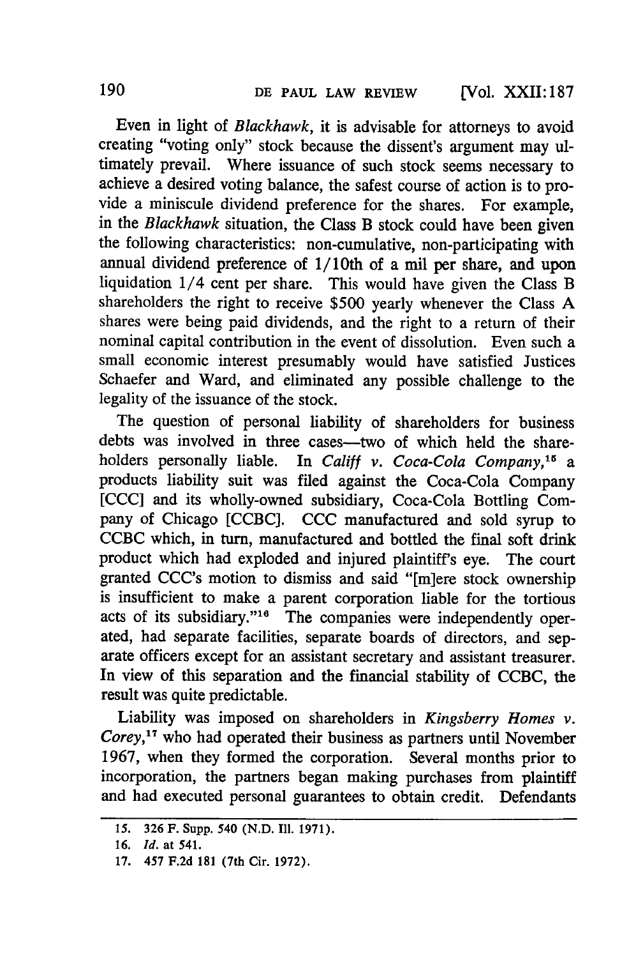Even in light of *Blackhawk,* it is advisable for attorneys to avoid creating "voting only" stock because the dissent's argument may ultimately prevail. Where issuance of such stock seems necessary to achieve a desired voting balance, the safest course of action is to provide a miniscule dividend preference for the shares. For example, in the *Blackhawk* situation, the Class B stock could have been given the following characteristics: non-cumulative, non-participating with annual dividend preference of 1/10th of a mil per share, and upon liquidation 1/4 cent per share. This would have given the Class B shareholders the right to receive \$500 yearly whenever the Class A shares were being paid dividends, and the right to a return of their nominal capital contribution in the event of dissolution. Even such a small economic interest presumably would have satisfied Justices Schaefer and Ward, and eliminated any possible challenge to the legality of the issuance of the stock.

The question of personal liability of shareholders for business debts was involved in three cases-two of which held the shareholders personally liable. In *Califf v. Coca-Cola Company,'5 a* products liability suit was filed against the Coca-Cola Company [CCC] and its wholly-owned subsidiary, Coca-Cola Bottling Company of Chicago [CCBC]. CCC manufactured and sold syrup to CCBC which, in turn, manufactured and bottled the final soft drink product which had exploded and injured plaintiff's eye. The court granted CCC's motion to dismiss and said "[m]ere stock ownership is insufficient to make a parent corporation liable for the tortious acts of its subsidiary."<sup>16</sup> The companies were independently operated, had separate facilities, separate boards of directors, and separate officers except for an assistant secretary and assistant treasurer. In view of this separation and the financial stability of **CCBC,** the result was quite predictable.

Liability was imposed on shareholders in *Kingsberry Homes v. Corey, <sup>7</sup>*who had operated their business as partners until November 1967, when they formed the corporation. Several months prior to incorporation, the partners began making purchases from plaintiff and had executed personal guarantees to obtain credit. Defendants

**<sup>15. 326</sup> F.** Supp. **540 (N.D. Il1. 1971).**

**<sup>16.</sup>** *Id.* **at 541.**

**<sup>17. 457</sup> F.2d 181** (7th Cir. **1972).**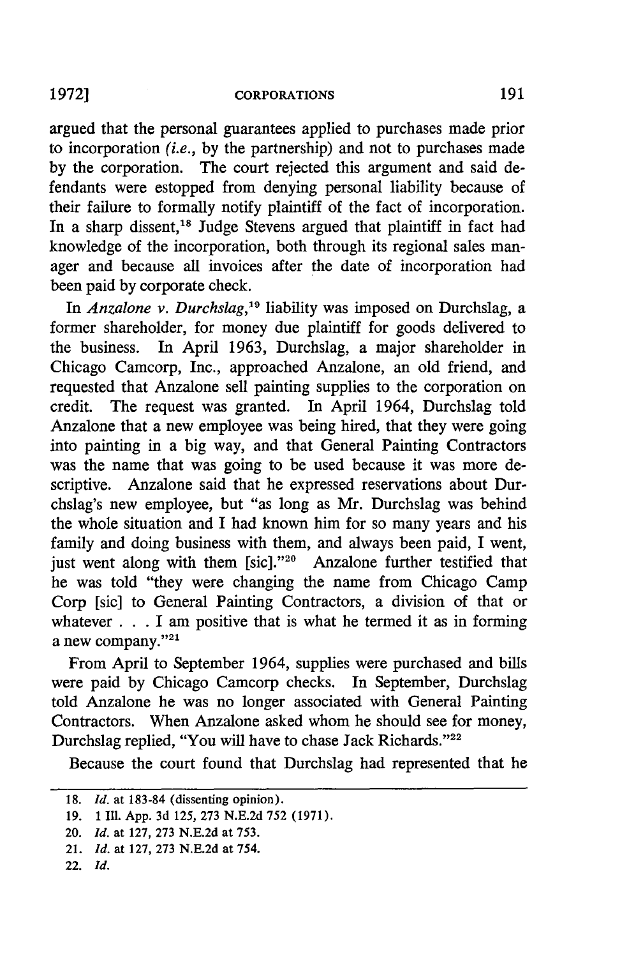argued that the personal guarantees applied to purchases made prior to incorporation *(i.e.,* by the partnership) and not to purchases made by the corporation. The court rejected this argument and said defendants were estopped from denying personal liability because of their failure to formally notify plaintiff of the fact of incorporation. In a sharp dissent,<sup>18</sup> Judge Stevens argued that plaintiff in fact had knowledge of the incorporation, both through its regional sales manager and because all invoices after the date of incorporation had been paid **by** corporate check.

In *Anzalone v. Durchslag,'9* liability was imposed on Durchslag, a former shareholder, for money due plaintiff for goods delivered to the business. In April 1963, Durchslag, a major shareholder in Chicago Camcorp, Inc., approached Anzalone, an old friend, and requested that Anzalone sell painting supplies to the corporation on credit. The request was granted. In April 1964, Durchslag told Anzalone that a new employee was being hired, that they were going into painting in a big way, and that General Painting Contractors was the name that was going to be used because it was more descriptive. Anzalone said that he expressed reservations about Durchslag's new employee, but "as long as Mr. Durchslag was behind the whole situation and I had known him for so many years and his family and doing business with them, and always been paid, I went, just went along with them [sic]."<sup>20</sup> Anzalone further testified that he was told "they were changing the name from Chicago Camp Corp [sic] to General Painting Contractors, a division of that or whatever **. . .**I am positive that is what he termed it as in forming a new company."<sup>21</sup>

From April to September 1964, supplies were purchased and bills were paid **by** Chicago Camcorp checks. In September, Durchslag told Anzalone he was no longer associated with General Painting Contractors. When Anzalone asked whom he should see for money, Durchslag replied, "You will have to chase Jack Richards."<sup>22</sup>

Because the court found that Durchslag had represented that he

**<sup>18.</sup>** *Id.* at **183-84** (dissenting opinion).

**<sup>19. 1111.</sup>** App. 3d 125, **273** N.E.2d **752** (1971).

<sup>20.</sup> *Id.* at 127, **273** N.E.2d at **753.**

<sup>21.</sup> *Id.* at 127, 273 N.E.2d at 754.

<sup>22.</sup> *Id.*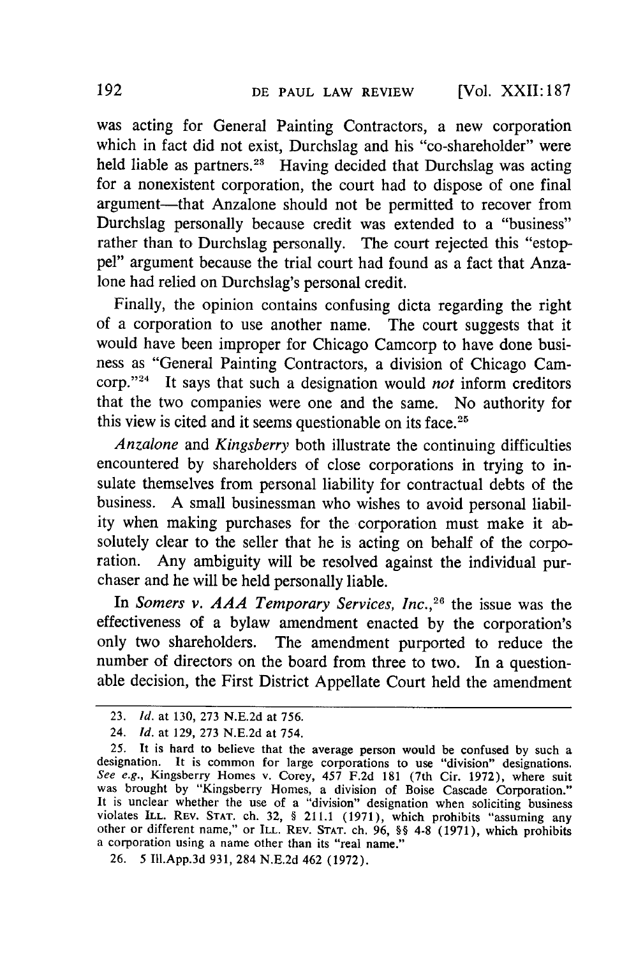was acting for General Painting Contractors, a new corporation which in fact did not exist, Durchslag and his "co-shareholder" were held liable as partners.<sup>23</sup> Having decided that Durchslag was acting for a nonexistent corporation, the court had to dispose of one final argument-that Anzalone should not be permitted to recover from Durchslag personally because credit was extended to a "business" rather than to Durchslag personally. The court rejected this "estoppel" argument because the trial court had found as a fact that Anzalone had relied on Durchslag's personal credit.

Finally, the opinion contains confusing dicta regarding the right of a corporation to use another name. The court suggests that it would have been improper for Chicago Camcorp to have done business as "General Painting Contractors, a division of Chicago Camcorp."24 It says that such a designation would *not* inform creditors that the two companies were one and the same. No authority for this view is cited and it seems questionable on its face.<sup>21</sup>

*Anzalone* and *Kingsberry* both illustrate the continuing difficulties encountered by shareholders of close corporations in trying to insulate themselves from personal liability for contractual debts of the business. A small businessman who wishes to avoid personal liability when making purchases for the corporation must make it absolutely clear to the seller that he is acting on behalf of the corporation. Any ambiguity will be resolved against the individual purchaser and he will be held personally liable.

In *Somers v. AAA Temporary Services, Inc.,26* the issue was the effectiveness of a bylaw amendment enacted by the corporation's only two shareholders. The amendment purported to reduce the number of directors on the board from three to two. In a questionable decision, the First District Appellate Court held the amendment

<sup>23.</sup> *Id.* at 130, 273 N.E.2d at **756.**

<sup>24.</sup> *Id.* at 129, 273 N.E.2d at 754.

<sup>25.</sup> It is hard to believe that the average person would be confused by such a designation. It is common for large corporations to use "division" designations.<br>See e.g., Kingsberry Homes v. Corey, 457 F.2d 181 (7th Cir. 1972), where suit was brought by "Kingsberry Homes, a division of Boise Cascade C It is unclear whether the use of a "division" designation when soliciting business violates ILL. REV. **STAT.** ch. **32,** § 211.1 (1971), which prohibits "assuming any other or different name," or ILL. REV. **STAT.** ch. 96, §§ 4-8 (1971), which prohibits a corporation using a name other than its "real name."

**<sup>26. 5</sup>** Ill.App.3d 931, 284 N.E.2d 462 (1972).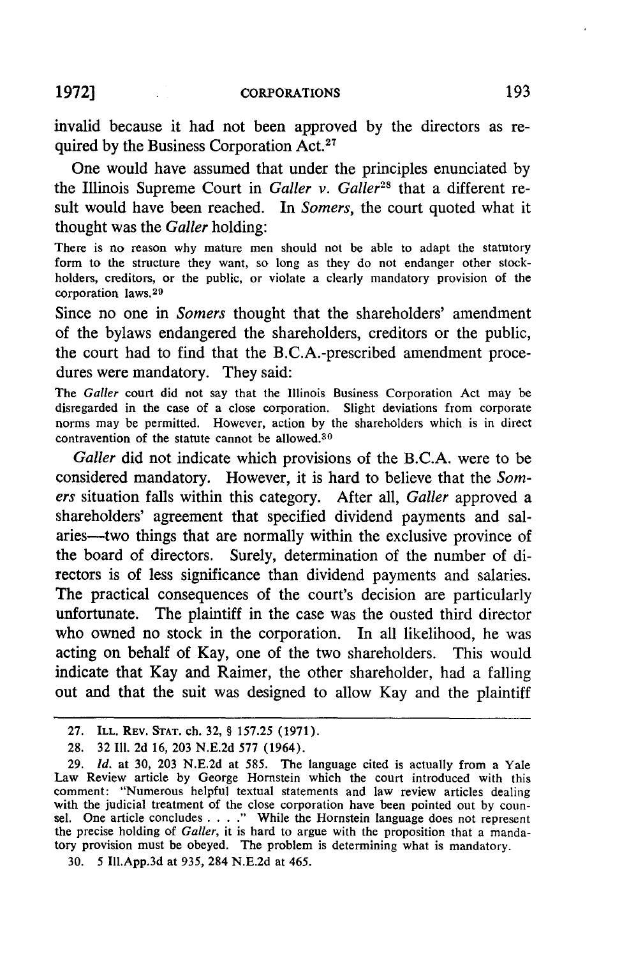**CORPORATIONS** 

invalid because it had not been approved **by** the directors as required by the Business Corporation Act.<sup>27</sup>

One would have assumed that under the principles enunciated by the Illinois Supreme Court in *Galler v. Galler<sup>28</sup>* that a different result would have been reached. In *Somers,* the court quoted what it thought was the *Galler* holding:

There is no reason why mature men should not be able to adapt the statutory form to the structure they want, so long as they do not endanger other stockholders, creditors, or the public, or violate a clearly mandatory provision of the corporation laws.<sup>29</sup>

Since no one in *Somers* thought that the shareholders' amendment of the bylaws endangered the shareholders, creditors or the public, the court had to find that the B.C.A.-prescribed amendment procedures were mandatory. They said:

The Galler court did not say that the Illinois Business Corporation Act may be disregarded in the case of a close corporation. Slight deviations from corporate norms may be permitted. However, action by the shareholders which is in direct contravention of the statute cannot be allowed.<sup>30</sup>

*Galler* did not indicate which provisions of the **B.C.A.** were to be considered mandatory. However, it is hard to believe that the *Somers* situation falls within this category. After all, *Galler* approved a shareholders' agreement that specified dividend payments and salaries-two things that are normally within the exclusive province of the board of directors. Surely, determination of the number of directors is of less significance than dividend payments and salaries. The practical consequences of the court's decision are particularly unfortunate. The plaintiff in the case was the ousted third director who owned no stock in the corporation. In all likelihood, he was acting on behalf of Kay, one of the two shareholders. This would indicate that Kay and Raimer, the other shareholder, had a falling out and that the suit was designed to allow Kay and the plaintiff

**1972]**

<sup>27.</sup> ILL. REV. **STAT.** ch. 32, § 157.25 (1971).

<sup>28. 32</sup> Ill. 2d 16, **203** N.E.2d 577 (1964).

<sup>29.</sup> **Id.** at 30, 203 N.E.2d at 585. The language cited is actually from a Yale Law Review article by George Hornstein which the court introduced with this comment: "Numerous helpful textual statements and law review articles dealing with the judicial treatment of the close corporation have been pointed out by counsel. One article concludes . . . ." While the Hornstein language does not represent the precise holding of Galler, it is hard to argue with the proposition that a mandatory provision must be obeyed. The problem is determining what is mandatory.

<sup>30.</sup> 5 Ill.App.3d at 935, 284 N.E.2d at 465.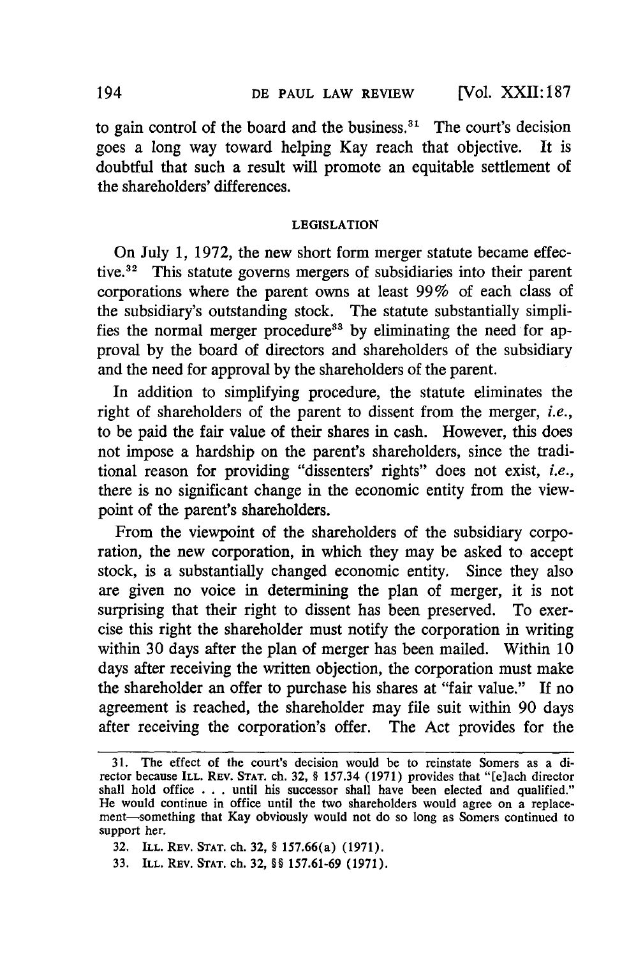to gain control of the board and the business. $31$  The court's decision goes a long way toward helping Kay reach that objective. It is doubtful that such a result will promote an equitable settlement of the shareholders' differences.

### LEGISLATION

On July 1, 1972, the new short form merger statute became effective.32 This statute governs mergers of subsidiaries into their parent corporations where the parent owns at least 99% of each class of the subsidiary's outstanding stock. The statute substantially simplifies the normal merger procedure<sup>33</sup> by eliminating the need for approval by the board of directors and shareholders of the subsidiary and the need for approval by the shareholders of the parent.

In addition to simplifying procedure, the statute eliminates the right of shareholders of the parent to dissent from the merger, *i.e.,* to be paid the fair value of their shares in cash. However, this does not impose a hardship on the parent's shareholders, since the traditional reason for providing "dissenters' rights" does not exist, *i.e.,* there is no significant change in the economic entity from the viewpoint of the parent's shareholders.

From the viewpoint of the shareholders of the subsidiary corporation, the new corporation, in which they may be asked to accept stock, is a substantially changed economic entity. Since they also are given no voice in determining the plan of merger, it is not surprising that their right to dissent has been preserved. To exercise this right the shareholder must notify the corporation in writing within 30 days after the plan of merger has been mailed. Within 10 days after receiving the written objection, the corporation must make the shareholder an offer to purchase his shares at "fair value." **If** no agreement is reached, the shareholder may file suit within 90 days after receiving the corporation's offer. The Act provides for the

- 32. ILL. REV. **STAT.** ch. 32, § 157.66(a) **(1971).**
- 33. ILL. REV. **STAT.** ch. 32, §§ **157.61-69** (1971).

<sup>31.</sup> The effect of the court's decision would be to reinstate Somers as a director because **ILL. REV. STAT.** ch. **32,** § **157.34** (1971) provides that "[e]ach director shall hold office . . . until his successor shall have been elected and qualified." He would continue in office until the two shareholders would agree on a replacement-something that Kay obviously would not do so long as Somers continued to support her.